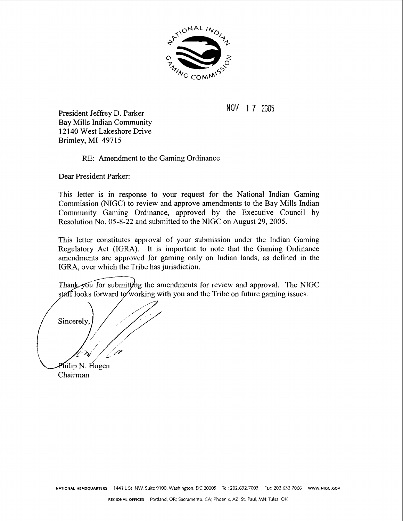

NOV 1 7 2005

President Jeffrey D. Parker Bay Mills Indian Community 12 140 West Lakeshore Drive Brimley, MI 49715

RE: Amendment to the Gaming Ordinance

Dear President Parker:

This letter is in response to your request for the National Indian Gaming Commission (NIGC) to review and approve amendments to the Bay Mills Indian Community Gaming Ordinance, approved by the Executive Council by Resolution No. 05-8-22 and submitted to the NIGC on August 29,2005.

This letter constitutes approval of your submission under the Indian Gaming Regulatory Act (IGRA). It is important to note that the Gaming Ordinance amendments are approved for gaming only on Indian lands, as defined in the IGRA, over which the Tribe has jurisdiction.

Thank you for submitting the amendments for review and approval. The NIGC staff looks forward to working with you and the Tribe on future gaming issues.

Sincerely Philip N. Hogen

Chairman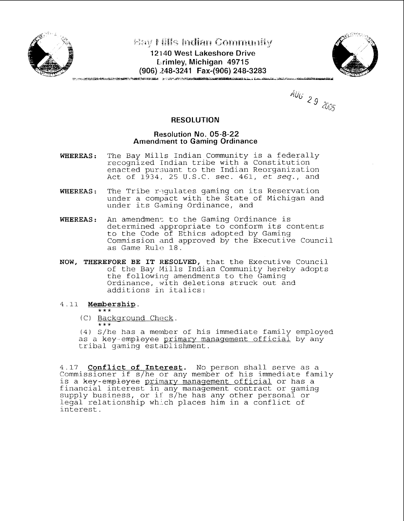

**Bay Mills Indian Community** 

**12 140 West Lakeshore Drive L**rimley, Michigan 49715 **(906) 248-3241 Fax-(906) 248-3283** 



 $A_{U_G}$  29 2005

# **RESOLUTION**

## **Resolution No. 05-8-22 Amendment to Gaming Ordinance**

- **WHEREAS:** The Bay Mills Indian Community is a federally recognized Indian tribe with a Constitution enacted pursuant to the Indian Reorganization Act of 1934, 25 U.S.C. sec. 461, et seq., and
- WHEREAS: The Tribe requlates gaming on its Reservation under a compact with the State of Michigan and under its Gaming Ordinance, and
- WHEREAS: An amendment to the Gaming Ordinance is determined appropriate to conform its contents to the Code of Ethics adopted by Gaming Commission and approved by the Executive Council as Game Rule 18.
- **NOW, THEREFORE BE IT RESOLVED,** that the Executive Council of the Bay Mills Indian Community hereby adopts the following amendments to the Gaming Ordinance, with deletions struck out and additions in italics:

# 4.11 **Membership.** \*\*\*

(C)  $\frac{Background \text{ Check}}{***}$ .

(4) S/he has a mernber of his immediate family employed as a key-empleyee primary management official by any tribal gaming establishment.

4.17 **Conflict of Interest.** No person shall serve as a Commissioner if s/he or any member of his immediate family is a key-employee primary management official or has a financial interest in any management contract or gaming  $\operatorname{supp}\nolimits\{y$  business, or if s $\acute{/}$ he has any other personal or  $\acute{/}$ legal relationship which places him in a conflict of interest.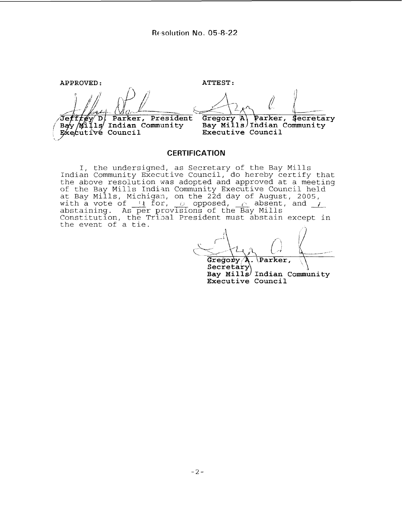**APPROVED** : **ATTEST** : Jeff/ey D. Parker, Presider<br>Bay Mills Indian Community Parker, President Gregory A) Parker, Secretar<br>Bay Mills Indian Community Parker, Secretary Executive Council Executive Council

#### **CERTIFICATION**

I, the undersigned, as Secretary of the Bay Mills Indian Community Executive Council, do hereby certify that the above resolution was adopted and approved at a meeting of the Bay Mills Indian Community Executive Council held at Bay Mills, Michigan, on the 22d day of August, 2005, with a vote of  $\frac{1}{2}$  for,  $\frac{1}{2}$  opposed,  $\frac{1}{2}$  absent, and  $\frac{1}{2}$ abstaining. As per provisions of the Bay Mills Constitution, the Tri3al President must abstain except in the event of a tie.

Gregory/A Parker,  $\mathbb{R}^2$ Secretary Bay Mills<sup>/</sup> Indian Community **Executive Council**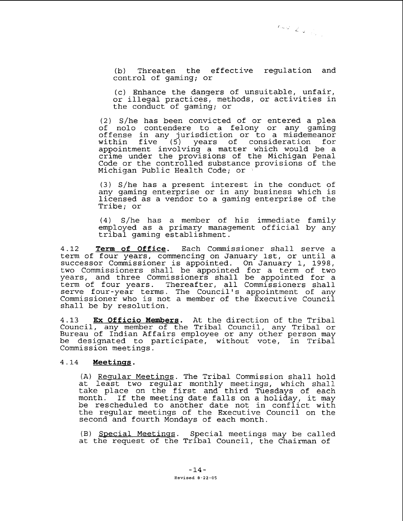(b) Threaten the effective regulation and control of gaming; or

(c) Enhance the dangers of unsuitable, unfair, or illegal practices, methods, or activities in the conduct of gaming; or

(2) S/he has been convicted of or entered a plea of nolo contendere to a felony or any gaming offense in any jurisdiction or to a misdemeanor within five (5) years of consideration for appointment involving a matter which would be a crime under the provisions of the Michigan Penal Code or the controlled substance provisions of the Michigan Public Health Code; or .

(3) S/he has a present interest in the conduct of any gaming enterprise or in any business which is licensed as a vendor to a gaming enterprise of the Tribe; or

(4) S/he has a member of his immediate family employed as a primary management official by any tribal gaming establishment.

4.12 Term **of Office.** Each Commissioner shall serve a term of four years, commencing on January lst, or until a successor Commissioner is appointed. On January 1, 1998, two Commissioners shall be appointed for a term of two years, and three Commissioners shall be appointed for a term of four years. Thereafter, all Commissioners shall serve four-year terms. The Council's appointment of any Commissioner who is not a member of the Executive Council shall be by resolution.

4.13 Ex **Officio Members.** At the direction of the Tribal Council, any member of the Tribal Council, any Tribal or Bureau of Indian Affairs employee or any other person may be designated to participate, without vote, in Tribal Commission meetings.

## 4.14 **Meetinss.**

(A) Reqular Meetings. The Tribal Commission shall hold at least two regular monthly meetings, which shall take place on the first and third Tuesdays of each month. If the meeting date falls on a holiday, it may be rescheduled to another date not in conflict with the regular meetings of the Executive Council on the second and fourth Mondays of each month.

 $(B)$  Special Meetings. Special meetings may be called at the request of the Tribal Council, the Chairman of